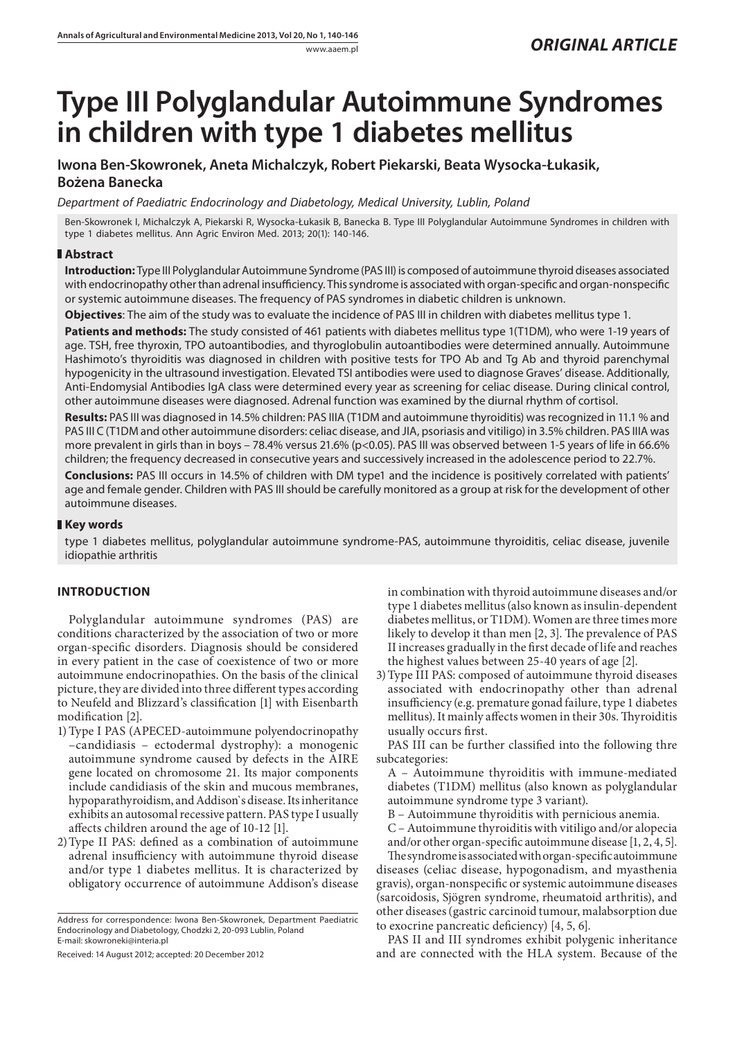# **Type III Polyglandular Autoimmune Syndromes in children with type 1 diabetes mellitus**

## **Iwona Ben-Skowronek, Aneta Michalczyk, Robert Piekarski, Beata Wysocka-Łukasik,**

## **Bożena Banecka**

*Department of Paediatric Endocrinology and Diabetology, Medical University, Lublin, Poland*

Ben-Skowronek I, Michalczyk A, Piekarski R, Wysocka-Łukasik B, Banecka B. Type III Polyglandular Autoimmune Syndromes in children with type 1 diabetes mellitus. Ann Agric Environ Med. 2013; 20(1): 140-146.

## **Abstract**

**Introduction:** Type III Polyglandular Autoimmune Syndrome (PAS III) is composed of autoimmune thyroid diseases associated with endocrinopathy other than adrenal insufficiency. This syndrome is associated with organ-specific and organ-nonspecific or systemic autoimmune diseases. The frequency of PAS syndromes in diabetic children is unknown.

**Objectives**: The aim of the study was to evaluate the incidence of PAS III in children with diabetes mellitus type 1.

Patients and methods: The study consisted of 461 patients with diabetes mellitus type 1(T1DM), who were 1-19 years of age. TSH, free thyroxin, TPO autoantibodies, and thyroglobulin autoantibodies were determined annually. Autoimmune Hashimoto's thyroiditis was diagnosed in children with positive tests for TPO Ab and Tg Ab and thyroid parenchymal hypogenicity in the ultrasound investigation. Elevated TSI antibodies were used to diagnose Graves' disease. Additionally, Anti-Endomysial Antibodies IgA class were determined every year as screening for celiac disease. During clinical control, other autoimmune diseases were diagnosed. Adrenal function was examined by the diurnal rhythm of cortisol.

**Results:** PAS III was diagnosed in 14.5% children: PAS IIIA (T1DM and autoimmune thyroiditis) was recognized in 11.1 % and PAS III C (T1DM and other autoimmune disorders: celiac disease, and JIA, psoriasis and vitiligo) in 3.5% children. PAS IIIA was more prevalent in girls than in boys – 78.4% versus 21.6% (p<0.05). PAS III was observed between 1-5 years of life in 66.6% children; the frequency decreased in consecutive years and successively increased in the adolescence period to 22.7%.

**Conclusions:** PAS III occurs in 14.5% of children with DM type1 and the incidence is positively correlated with patients' age and female gender. Children with PAS III should be carefully monitored as a group at risk for the development of other autoimmune diseases.

## **Key words**

type 1 diabetes mellitus, polyglandular autoimmune syndrome-PAS, autoimmune thyroiditis, celiac disease, juvenile idiopathie arthritis

## **Introduction**

Polyglandular autoimmune syndromes (PAS) are conditions characterized by the association of two or more organ-specific disorders. Diagnosis should be considered in every patient in the case of coexistence of two or more autoimmune endocrinopathies. On the basis of the clinical picture, they are divided into three different types according to Neufeld and Blizzard's classification [1] with Eisenbarth modification [2].

- 1)Type I PAS (APECED-autoimmune polyendocrinopathy –candidiasis – ectodermal dystrophy): a monogenic autoimmune syndrome caused by defects in the AIRE gene located on chromosome 21. Its major components include candidiasis of the skin and mucous membranes, hypoparathyroidism, and Addison`s disease. Its inheritance exhibits an autosomal recessive pattern. PAS type I usually affects children around the age of 10-12 [1].
- 2)Type II PAS: defined as a combination of autoimmune adrenal insufficiency with autoimmune thyroid disease and/or type 1 diabetes mellitus. It is characterized by obligatory occurrence of autoimmune Addison's disease

Address for correspondence: Iwona Ben-Skowronek, Department Paediatric Endocrinology and Diabetology, Chodzki 2, 20-093 Lublin, Poland E-mail: skowroneki@interia.pl

Received: 14 August 2012; accepted: 20 December 2012

in combination with thyroid autoimmune diseases and/or type 1 diabetes mellitus (also known as insulin-dependent diabetes mellitus, or T1DM). Women are three times more likely to develop it than men [2, 3]. The prevalence of PAS II increases gradually in the first decade of life and reaches the highest values between 25-40 years of age [2].

3)Type III PAS: composed of autoimmune thyroid diseases associated with endocrinopathy other than adrenal insufficiency (e.g. premature gonad failure, type 1 diabetes mellitus). It mainly affects women in their 30s. Thyroiditis usually occurs first.

PAS III can be further classified into the following thre subcategories:

- A Autoimmune thyroiditis with immune-mediated diabetes (T1DM) mellitus (also known as polyglandular autoimmune syndrome type 3 variant).
- B Autoimmune thyroiditis with pernicious anemia.
- C Autoimmune thyroiditis with vitiligo and/or alopecia and/or other organ-specific autoimmune disease [1, 2, 4, 5].

The syndrome is associated with organ-specific autoimmune diseases (celiac disease, hypogonadism, and myasthenia gravis), organ-nonspecific or systemic autoimmune diseases (sarcoidosis, Sjögren syndrome, rheumatoid arthritis), and other diseases (gastric carcinoid tumour, malabsorption due to exocrine pancreatic deficiency) [4, 5, 6].

PAS II and III syndromes exhibit polygenic inheritance and are connected with the HLA system. Because of the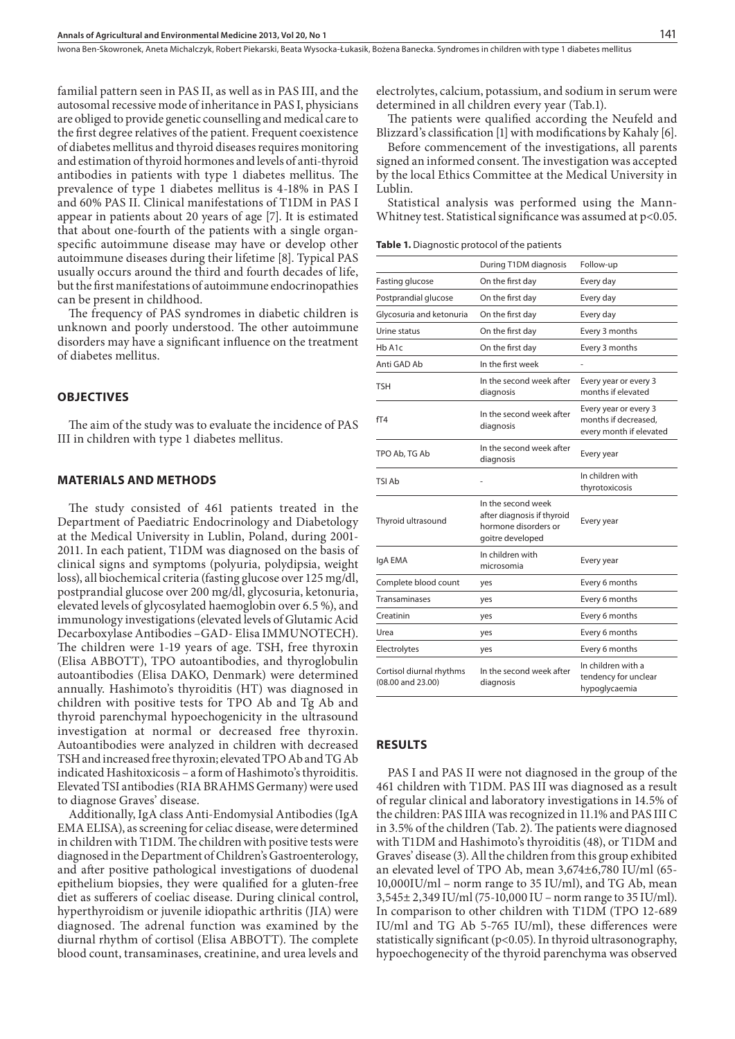Iwona Ben-Skowronek, Aneta Michalczyk, Robert Piekarski, Beata Wysocka-Łukasik, Bożena Banecka . Syndromes in children with type 1 diabetes mellitus

familial pattern seen in PAS II, as well as in PAS III, and the autosomal recessive mode of inheritance in PAS I, physicians are obliged to provide genetic counselling and medical care to the first degree relatives of the patient. Frequent coexistence of diabetes mellitus and thyroid diseases requires monitoring and estimation of thyroid hormones and levels of anti-thyroid antibodies in patients with type 1 diabetes mellitus. The prevalence of type 1 diabetes mellitus is 4-18% in PAS I and 60% PAS II. Clinical manifestations of T1DM in PAS I appear in patients about 20 years of age [7]. It is estimated that about one-fourth of the patients with a single organspecific autoimmune disease may have or develop other autoimmune diseases during their lifetime [8]. Typical PAS usually occurs around the third and fourth decades of life, but the first manifestations of autoimmune endocrinopathies can be present in childhood.

The frequency of PAS syndromes in diabetic children is unknown and poorly understood. The other autoimmune disorders may have a significant influence on the treatment of diabetes mellitus.

#### **Objectives**

The aim of the study was to evaluate the incidence of PAS III in children with type 1 diabetes mellitus.

#### **Materials and Methods**

The study consisted of 461 patients treated in the Department of Paediatric Endocrinology and Diabetology at the Medical University in Lublin, Poland, during 2001- 2011. In each patient, T1DM was diagnosed on the basis of clinical signs and symptoms (polyuria, polydipsia, weight loss), all biochemical criteria (fasting glucose over 125 mg/dl, postprandial glucose over 200 mg/dl, glycosuria, ketonuria, elevated levels of glycosylated haemoglobin over 6.5 %), and immunology investigations (elevated levels of Glutamic Acid Decarboxylase Antibodies –GAD- Elisa IMMUNOTECH). The children were 1-19 years of age. TSH, free thyroxin (Elisa ABBOTT), TPO autoantibodies, and thyroglobulin autoantibodies (Elisa DAKO, Denmark) were determined annually. Hashimoto's thyroiditis (HT) was diagnosed in children with positive tests for TPO Ab and Tg Ab and thyroid parenchymal hypoechogenicity in the ultrasound investigation at normal or decreased free thyroxin. Autoantibodies were analyzed in children with decreased TSH and increased free thyroxin; elevated TPO Ab and TG Ab indicated Hashitoxicosis – a form of Hashimoto's thyroiditis. Elevated TSI antibodies (RIA BRAHMS Germany) were used to diagnose Graves' disease.

Additionally, IgA class Anti-Endomysial Antibodies (IgA EMA ELISA), as screening for celiac disease, were determined in children with T1DM. The children with positive tests were diagnosed in the Department of Children's Gastroenterology, and after positive pathological investigations of duodenal epithelium biopsies, they were qualified for a gluten-free diet as sufferers of coeliac disease. During clinical control, hyperthyroidism or juvenile idiopathic arthritis (JIA) were diagnosed. The adrenal function was examined by the diurnal rhythm of cortisol (Elisa ABBOTT). The complete blood count, transaminases, creatinine, and urea levels and electrolytes, calcium, potassium, and sodium in serum were determined in all children every year (Tab.1).

The patients were qualified according the Neufeld and Blizzard's classification [1] with modifications by Kahaly [6].

Before commencement of the investigations, all parents signed an informed consent. The investigation was accepted by the local Ethics Committee at the Medical University in Lublin.

Statistical analysis was performed using the Mann-Whitney test. Statistical significance was assumed at  $p<0.05$ .

**Table 1.** Diagnostic protocol of the patients

| During T1DM diagnosis                         |                                                                                              | Follow-up                                                                |  |
|-----------------------------------------------|----------------------------------------------------------------------------------------------|--------------------------------------------------------------------------|--|
| Fasting glucose                               | On the first day                                                                             | Every day                                                                |  |
| Postprandial glucose                          | On the first day                                                                             | Every day                                                                |  |
| Glycosuria and ketonuria                      | On the first day                                                                             | Every day                                                                |  |
| Urine status                                  | On the first day                                                                             | Every 3 months                                                           |  |
| Hb A <sub>1</sub> c                           | On the first day                                                                             | Every 3 months                                                           |  |
| Anti GAD Ab                                   | In the first week                                                                            |                                                                          |  |
| TSH                                           | In the second week after<br>diagnosis                                                        | Every year or every 3<br>months if elevated                              |  |
| fT4                                           | In the second week after<br>diagnosis                                                        | Every year or every 3<br>months if decreased.<br>every month if elevated |  |
| TPO Ab, TG Ab                                 | In the second week after<br>diagnosis                                                        | Every year                                                               |  |
| TSI Ah                                        |                                                                                              | In children with<br>thyrotoxicosis                                       |  |
| Thyroid ultrasound                            | In the second week<br>after diagnosis if thyroid<br>hormone disorders or<br>goitre developed | Every year                                                               |  |
| IgA EMA                                       | In children with<br>microsomia                                                               | Every year                                                               |  |
| Complete blood count                          | yes                                                                                          | Every 6 months                                                           |  |
| Transaminases                                 | yes                                                                                          | Every 6 months                                                           |  |
| Creatinin                                     | yes                                                                                          | Every 6 months                                                           |  |
| Urea                                          | yes                                                                                          | Every 6 months                                                           |  |
| Electrolytes                                  | yes                                                                                          | Every 6 months                                                           |  |
| Cortisol diurnal rhythms<br>(08.00 and 23.00) | In the second week after<br>diagnosis                                                        | In children with a<br>tendency for unclear<br>hypoglycaemia              |  |
|                                               |                                                                                              |                                                                          |  |

#### **Results**

PAS I and PAS II were not diagnosed in the group of the 461 children with T1DM. PAS III was diagnosed as a result of regular clinical and laboratory investigations in 14.5% of the children: PAS IIIA was recognized in 11.1% and PAS III C in 3.5% of the children (Tab. 2). The patients were diagnosed with T1DM and Hashimoto's thyroiditis (48), or T1DM and Graves' disease (3). All the children from this group exhibited an elevated level of TPO Ab, mean 3,674±6,780 IU/ml (65- 10,000IU/ml – norm range to 35 IU/ml), and TG Ab, mean 3,545± 2,349 IU/ml (75-10,000 IU – norm range to 35 IU/ml). In comparison to other children with T1DM (TPO 12-689 IU/ml and TG Ab 5-765 IU/ml), these differences were statistically significant (p<0.05). In thyroid ultrasonography, hypoechogenecity of the thyroid parenchyma was observed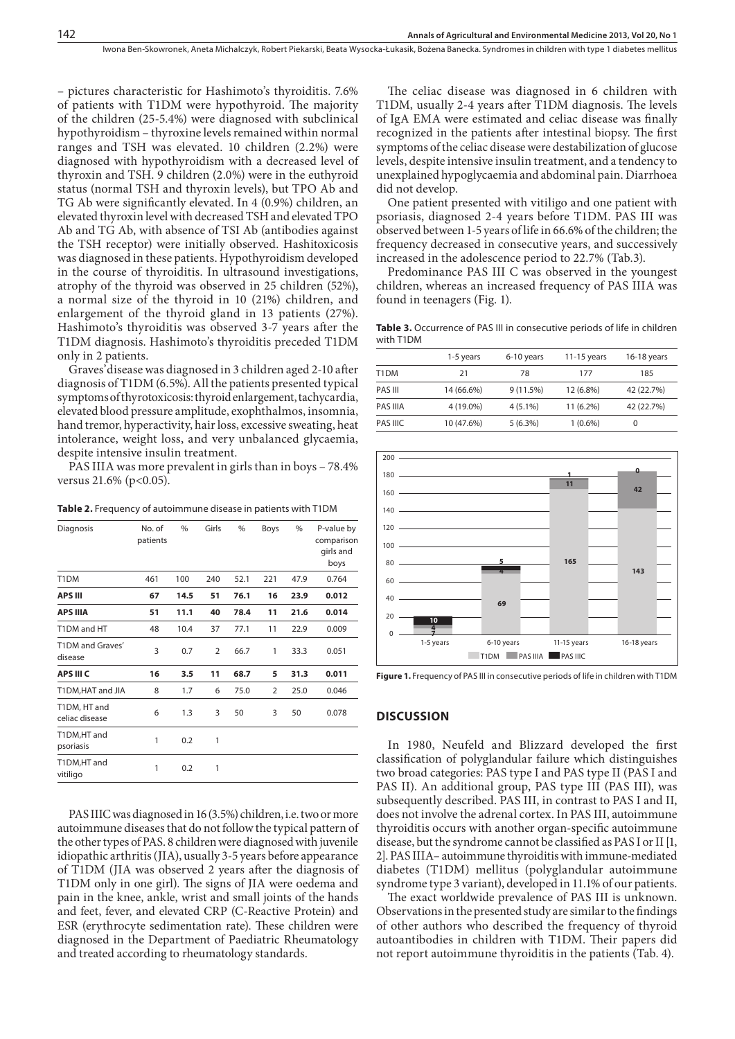– pictures characteristic for Hashimoto's thyroiditis. 7.6% of patients with T1DM were hypothyroid. The majority of the children (25-5.4%) were diagnosed with subclinical hypothyroidism – thyroxine levels remained within normal ranges and TSH was elevated. 10 children (2.2%) were diagnosed with hypothyroidism with a decreased level of thyroxin and TSH. 9 children (2.0%) were in the euthyroid status (normal TSH and thyroxin levels), but TPO Ab and TG Ab were significantly elevated. In 4 (0.9%) children, an elevated thyroxin level with decreased TSH and elevated TPO Ab and TG Ab, with absence of TSI Ab (antibodies against the TSH receptor) were initially observed. Hashitoxicosis was diagnosed in these patients. Hypothyroidism developed in the course of thyroiditis. In ultrasound investigations, atrophy of the thyroid was observed in 25 children (52%), a normal size of the thyroid in 10 (21%) children, and enlargement of the thyroid gland in 13 patients (27%). Hashimoto's thyroiditis was observed 3-7 years after the T1DM diagnosis. Hashimoto's thyroiditis preceded T1DM only in 2 patients.

Graves'disease was diagnosed in 3 children aged 2-10 after diagnosis of T1DM (6.5%). All the patients presented typical symptoms of thyrotoxicosis: thyroid enlargement, tachycardia, elevated blood pressure amplitude, exophthalmos, insomnia, hand tremor, hyperactivity, hair loss, excessive sweating, heat intolerance, weight loss, and very unbalanced glycaemia, despite intensive insulin treatment.

PAS IIIA was more prevalent in girls than in boys – 78.4% versus  $21.6\%$  (p<0.05).

**Table 2.** Frequency of autoimmune disease in patients with T1DM

| Diagnosis                      | No. of<br>patients | $\%$ | Girls          | $\%$ | Boys | %    | P-value by<br>comparison<br>girls and<br>boys |
|--------------------------------|--------------------|------|----------------|------|------|------|-----------------------------------------------|
| T <sub>1</sub> DM              | 461                | 100  | 240            | 52.1 | 221  | 47.9 | 0.764                                         |
| <b>APS III</b>                 | 67                 | 14.5 | 51             | 76.1 | 16   | 23.9 | 0.012                                         |
| <b>APS IIIA</b>                | 51                 | 11.1 | 40             | 78.4 | 11   | 21.6 | 0.014                                         |
| T1DM and HT                    | 48                 | 10.4 | 37             | 77.1 | 11   | 22.9 | 0.009                                         |
| T1DM and Graves'<br>disease    | 3                  | 0.7  | $\overline{2}$ | 66.7 | 1    | 33.3 | 0.051                                         |
| APS III C                      | 16                 | 3.5  | 11             | 68.7 | 5    | 31.3 | 0.011                                         |
| T1DM, HAT and JIA              | 8                  | 1.7  | 6              | 75.0 | 2    | 25.0 | 0.046                                         |
| T1DM, HT and<br>celiac disease | 6                  | 1.3  | 3              | 50   | 3    | 50   | 0.078                                         |
| T1DM,HT and<br>psoriasis       | 1                  | 0.2  | 1              |      |      |      |                                               |
| T1DM,HT and<br>vitiligo        | 1                  | 0.2  | 1              |      |      |      |                                               |

PAS IIIC was diagnosed in 16 (3.5%) children, i.e. two or more autoimmune diseases that do not follow the typical pattern of the other types of PAS. 8 children were diagnosed with juvenile idiopathic arthritis (JIA), usually 3-5 years before appearance of T1DM (JIA was observed 2 years after the diagnosis of T1DM only in one girl). The signs of JIA were oedema and pain in the knee, ankle, wrist and small joints of the hands and feet, fever, and elevated CRP (C-Reactive Protein) and ESR (erythrocyte sedimentation rate). These children were diagnosed in the Department of Paediatric Rheumatology and treated according to rheumatology standards.

The celiac disease was diagnosed in 6 children with T1DM, usually 2-4 years after T1DM diagnosis. The levels of IgA EMA were estimated and celiac disease was finally recognized in the patients after intestinal biopsy. The first symptoms of the celiac disease were destabilization of glucose levels, despite intensive insulin treatment, and a tendency to unexplained hypoglycaemia and abdominal pain. Diarrhoea did not develop.

One patient presented with vitiligo and one patient with psoriasis, diagnosed 2-4 years before T1DM. PAS III was observed between 1-5 years of life in 66.6% of the children; the frequency decreased in consecutive years, and successively increased in the adolescence period to 22.7% (Tab.3).

Predominance PAS III C was observed in the youngest children, whereas an increased frequency of PAS IIIA was found in teenagers (Fig. 1).

Table 3. Occurrence of PAS III in consecutive periods of life in children with T1DM

|          | 1-5 years  | 6-10 years | 11-15 years | 16-18 years |
|----------|------------|------------|-------------|-------------|
| T1DM     | 21         | 78         | 177         | 185         |
| PAS III  | 14 (66.6%) | 9(11.5%)   | 12 (6.8%)   | 42 (22.7%)  |
| PAS IIIA | 4 (19.0%)  | $4(5.1\%)$ | $11(6.2\%)$ | 42 (22.7%)  |
| PAS IIIC | 10 (47.6%) | 5(6.3%)    | $1(0.6\%)$  | 0           |



**Figure 1.** Frequency of PAS III in consecutive periods of life in children with T1DM

#### **Discussion**

In 1980, Neufeld and Blizzard developed the first classification of polyglandular failure which distinguishes two broad categories: PAS type I and PAS type II (PAS I and PAS II). An additional group, PAS type III (PAS III), was subsequently described. PAS III, in contrast to PAS I and II, does not involve the adrenal cortex. In PAS III, autoimmune thyroiditis occurs with another organ-specific autoimmune disease, but the syndrome cannot be classified as PAS I or II [1, 2]. PAS IIIA– autoimmune thyroiditis with immune-mediated diabetes (T1DM) mellitus (polyglandular autoimmune syndrome type 3 variant), developed in 11.1% of our patients.

The exact worldwide prevalence of PAS III is unknown. Observations in the presented study are similar to the findings of other authors who described the frequency of thyroid autoantibodies in children with T1DM. Their papers did not report autoimmune thyroiditis in the patients (Tab. 4).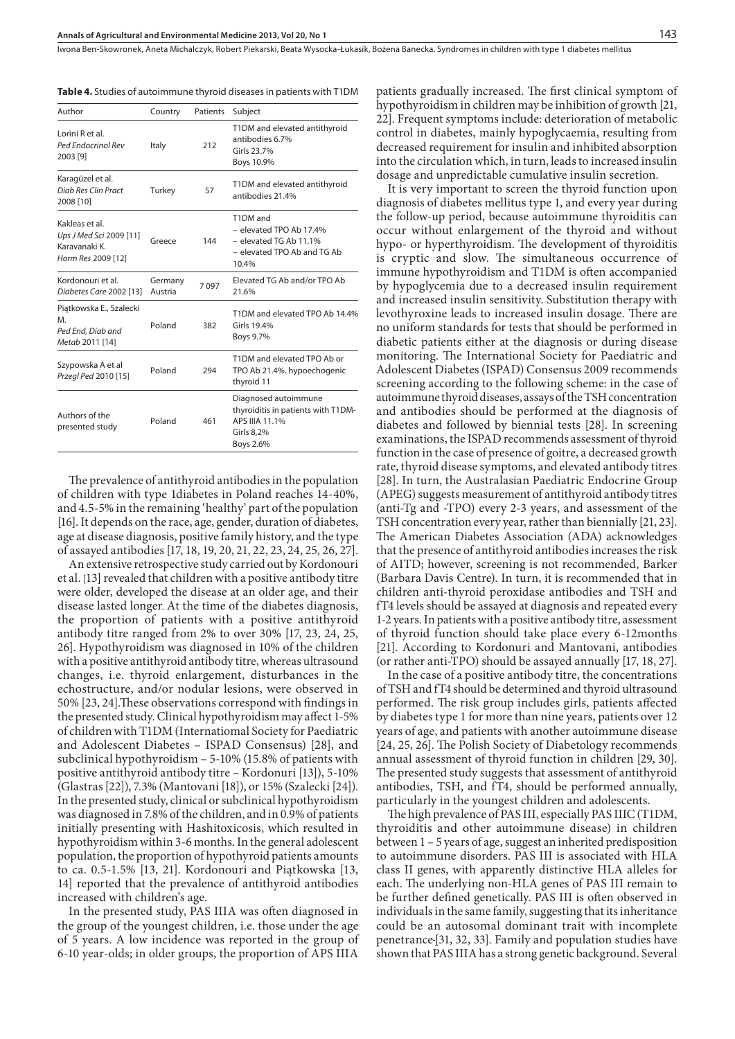Iwona Ben-Skowronek, Aneta Michalczyk, Robert Piekarski, Beata Wysocka-Łukasik, Bożena Banecka . Syndromes in children with type 1 diabetes mellitus

**Table 4.** Studies of autoimmune thyroid diseases in patients with T1DM

| Author                                                                          | Country            | Patients | Subject                                                                                                 |
|---------------------------------------------------------------------------------|--------------------|----------|---------------------------------------------------------------------------------------------------------|
| Lorini R et al.<br>Ped Endocrinol Rev<br>2003 [9]                               | Italy              | 212      | T1DM and elevated antithyroid<br>antibodies 6.7%<br>Girls 23.7%<br>Boys 10.9%                           |
| Karagüzel et al.<br>Diab Res Clin Pract<br>2008 [10]                            | Turkey             | 57       | T1DM and elevated antithyroid<br>antibodies 21.4%                                                       |
| Kakleas et al.<br>Ups J Med Sci 2009 [11]<br>Karavanaki K<br>Horm Res 2009 [12] | Greece             | 144      | T1DM and<br>- elevated TPO Ab 17.4%<br>- elevated TG Ab 11.1%<br>- elevated TPO Ab and TG Ab<br>10.4%   |
| Kordonouri et al.<br>Diabetes Care 2002 [13]                                    | Germany<br>Austria | 7097     | Elevated TG Ab and/or TPO Ab<br>21.6%                                                                   |
| Piątkowska E., Szalecki<br>M.<br>Ped End, Diab and<br>Metab 2011 [14]           | Poland             | 382      | T1DM and elevated TPO Ab 14.4%<br>Girls 194%<br>Boys 9.7%                                               |
| Szypowska A et al<br>Przegl Ped 2010 [15]                                       | Poland             | 294      | T1DM and elevated TPO Ab or<br>TPO Ab 21.4%. hypoechogenic<br>thyroid 11                                |
| Authors of the<br>presented study                                               | Poland             | 461      | Diagnosed autoimmune<br>thyroiditis in patients with T1DM-<br>APS IIIA 11.1%<br>Girls 8,2%<br>Boys 2.6% |

The prevalence of antithyroid antibodies in the population of children with type 1diabetes in Poland reaches 14-40%, and 4.5-5% in the remaining 'healthy' part of the population [16]. It depends on the race, age, gender, duration of diabetes, age at disease diagnosis, positive family history, and the type of assayed antibodies [17, 18, 19, 20, 21, 22, 23, 24, 25, 26, 27].

An extensive retrospective study carried out by Kordonouri et al. [13] revealed that children with a positive antibody titre were older, developed the disease at an older age, and their disease lasted longer. At the time of the diabetes diagnosis, the proportion of patients with a positive antithyroid antibody titre ranged from 2% to over 30% [17, 23, 24, 25, 26]. Hypothyroidism was diagnosed in 10% of the children with a positive antithyroid antibody titre, whereas ultrasound changes, i.e. thyroid enlargement, disturbances in the echostructure, and/or nodular lesions, were observed in 50% [23, 24].These observations correspond with findings in the presented study. Clinical hypothyroidism may affect 1-5% of children with T1DM (Internatiomal Society for Paediatric and Adolescent Diabetes – ISPAD Consensus) [28], and subclinical hypothyroidism – 5-10% (15.8% of patients with positive antithyroid antibody titre – Kordonuri [13]), 5-10% (Glastras [22]), 7.3% (Mantovani [18]), or 15% (Szalecki [24]). In the presented study, clinical or subclinical hypothyroidism was diagnosed in 7.8% of the children, and in 0.9% of patients initially presenting with Hashitoxicosis, which resulted in hypothyroidism within 3-6 months. In the general adolescent population, the proportion of hypothyroid patients amounts to ca. 0.5-1.5% [13, 21]. Kordonouri and Piątkowska [13, 14] reported that the prevalence of antithyroid antibodies increased with children's age.

In the presented study, PAS IIIA was often diagnosed in the group of the youngest children, i.e. those under the age of 5 years. A low incidence was reported in the group of 6-10 year-olds; in older groups, the proportion of APS IIIA

patients gradually increased. The first clinical symptom of hypothyroidism in children may be inhibition of growth [21, 22]. Frequent symptoms include: deterioration of metabolic control in diabetes, mainly hypoglycaemia, resulting from decreased requirement for insulin and inhibited absorption into the circulation which, in turn, leads to increased insulin dosage and unpredictable cumulative insulin secretion.

It is very important to screen the thyroid function upon diagnosis of diabetes mellitus type 1, and every year during the follow-up period, because autoimmune thyroiditis can occur without enlargement of the thyroid and without hypo- or hyperthyroidism. The development of thyroiditis is cryptic and slow. The simultaneous occurrence of immune hypothyroidism and T1DM is often accompanied by hypoglycemia due to a decreased insulin requirement and increased insulin sensitivity. Substitution therapy with levothyroxine leads to increased insulin dosage. There are no uniform standards for tests that should be performed in diabetic patients either at the diagnosis or during disease monitoring. The International Society for Paediatric and Adolescent Diabetes (ISPAD) Consensus 2009 recommends screening according to the following scheme: in the case of autoimmune thyroid diseases, assays of the TSH concentration and antibodies should be performed at the diagnosis of diabetes and followed by biennial tests [28]. In screening examinations, the ISPAD recommends assessment of thyroid function in the case of presence of goitre, a decreased growth rate, thyroid disease symptoms, and elevated antibody titres [28]. In turn, the Australasian Paediatric Endocrine Group (APEG) suggests measurement of antithyroid antibody titres (anti-Tg and -TPO) every 2-3 years, and assessment of the TSH concentration every year, rather than biennially [21, 23]. The American Diabetes Association (ADA) acknowledges that the presence of antithyroid antibodies increases the risk of AITD; however, screening is not recommended, Barker (Barbara Davis Centre). In turn, it is recommended that in children anti-thyroid peroxidase antibodies and TSH and fT4 levels should be assayed at diagnosis and repeated every 1-2 years. In patients with a positive antibody titre, assessment of thyroid function should take place every 6-12months [21]. According to Kordonuri and Mantovani, antibodies (or rather anti-TPO) should be assayed annually [17, 18, 27].

In the case of a positive antibody titre, the concentrations of TSH and fT4 should be determined and thyroid ultrasound performed. The risk group includes girls, patients affected by diabetes type 1 for more than nine years, patients over 12 years of age, and patients with another autoimmune disease [24, 25, 26]. The Polish Society of Diabetology recommends annual assessment of thyroid function in children [29, 30]. The presented study suggests that assessment of antithyroid antibodies, TSH, and fT4, should be performed annually, particularly in the youngest children and adolescents.

The high prevalence of PAS III, especially PAS IIIC (T1DM, thyroiditis and other autoimmune disease) in children between 1 – 5 years of age, suggest an inherited predisposition to autoimmune disorders. PAS III is associated with HLA class II genes, with apparently distinctive HLA alleles for each. The underlying non-HLA genes of PAS III remain to be further defined genetically. PAS III is often observed in individuals in the same family, suggesting that its inheritance could be an autosomal dominant trait with incomplete penetrance [31, 32, 33]. Family and population studies have shown that PAS IIIA has a strong genetic background. Several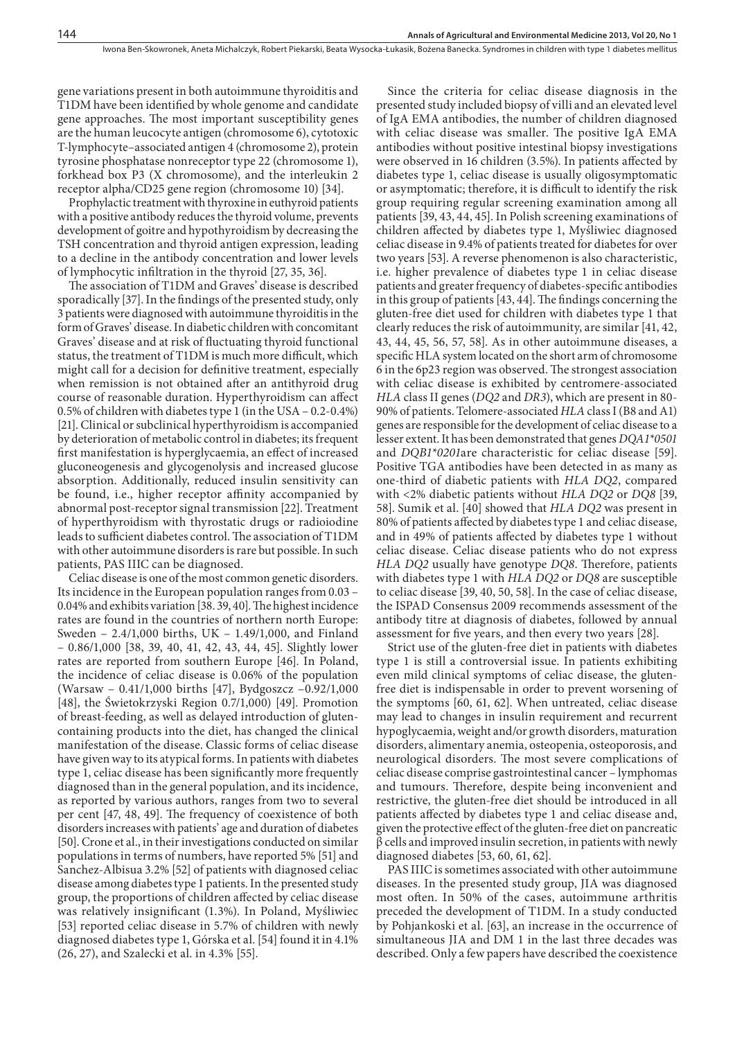gene variations present in both autoimmune thyroiditis and T1DM have been identified by whole genome and candidate gene approaches. The most important susceptibility genes are the human leucocyte antigen (chromosome 6), cytotoxic T-lymphocyte–associated antigen 4 (chromosome 2), protein tyrosine phosphatase nonreceptor type 22 (chromosome 1), forkhead box P3 (X chromosome), and the interleukin 2 receptor alpha/CD25 gene region (chromosome 10) [34].

Prophylactic treatment with thyroxine in euthyroid patients with a positive antibody reduces the thyroid volume, prevents development of goitre and hypothyroidism by decreasing the TSH concentration and thyroid antigen expression, leading to a decline in the antibody concentration and lower levels of lymphocytic infiltration in the thyroid [27, 35, 36].

The association of T1DM and Graves' disease is described sporadically [37]. In the findings of the presented study, only 3 patients were diagnosed with autoimmune thyroiditis in the form of Graves' disease. In diabetic children with concomitant Graves' disease and at risk of fluctuating thyroid functional status, the treatment of T1DM is much more difficult, which might call for a decision for definitive treatment, especially when remission is not obtained after an antithyroid drug course of reasonable duration. Hyperthyroidism can affect 0.5% of children with diabetes type 1 (in the USA – 0.2-0.4%) [21]. Clinical or subclinical hyperthyroidism is accompanied by deterioration of metabolic control in diabetes; its frequent first manifestation is hyperglycaemia, an effect of increased gluconeogenesis and glycogenolysis and increased glucose absorption. Additionally, reduced insulin sensitivity can be found, i.e., higher receptor affinity accompanied by abnormal post-receptor signal transmission [22]. Treatment of hyperthyroidism with thyrostatic drugs or radioiodine leads to sufficient diabetes control. The association of T1DM with other autoimmune disorders is rare but possible. In such patients, PAS IIIC can be diagnosed.

Celiac disease is one of the most common genetic disorders. Its incidence in the European population ranges from 0.03 – 0.04% and exhibits variation [38. 39, 40]. The highest incidence rates are found in the countries of northern north Europe: Sweden – 2.4/1,000 births, UK – 1.49/1,000, and Finland – 0.86/1,000 [38, 39, 40, 41, 42, 43, 44, 45]. Slightly lower rates are reported from southern Europe [46]. In Poland, the incidence of celiac disease is 0.06% of the population (Warsaw – 0.41/1,000 births [47], Bydgoszcz –0.92/1,000 [48], the Świetokrzyski Region 0.7/1,000) [49]. Promotion of breast-feeding, as well as delayed introduction of glutencontaining products into the diet, has changed the clinical manifestation of the disease. Classic forms of celiac disease have given way to its atypical forms. In patients with diabetes type 1, celiac disease has been significantly more frequently diagnosed than in the general population, and its incidence, as reported by various authors, ranges from two to several per cent [47, 48, 49]. The frequency of coexistence of both disorders increases with patients' age and duration of diabetes [50]. Crone et al., in their investigations conducted on similar populations in terms of numbers, have reported 5% [51] and Sanchez-Albisua 3.2% [52] of patients with diagnosed celiac disease among diabetes type 1 patients. In the presented study group, the proportions of children affected by celiac disease was relatively insignificant (1.3%). In Poland, Myśliwiec [53] reported celiac disease in 5.7% of children with newly diagnosed diabetes type 1, Górska et al. [54] found it in 4.1% (26, 27), and Szalecki et al. in 4.3% [55].

Since the criteria for celiac disease diagnosis in the presented study included biopsy of villi and an elevated level of IgA EMA antibodies, the number of children diagnosed with celiac disease was smaller. The positive IgA EMA antibodies without positive intestinal biopsy investigations were observed in 16 children (3.5%). In patients affected by diabetes type 1, celiac disease is usually oligosymptomatic or asymptomatic; therefore, it is difficult to identify the risk group requiring regular screening examination among all patients [39, 43, 44, 45]. In Polish screening examinations of children affected by diabetes type 1, Myśliwiec diagnosed celiac disease in 9.4% of patients treated for diabetes for over two years [53]. A reverse phenomenon is also characteristic, i.e. higher prevalence of diabetes type 1 in celiac disease patients and greater frequency of diabetes-specific antibodies in this group of patients [43, 44]. The findings concerning the gluten-free diet used for children with diabetes type 1 that clearly reduces the risk of autoimmunity, are similar [41, 42, 43, 44, 45, 56, 57, 58]. As in other autoimmune diseases, a specific HLA system located on the short arm of chromosome 6 in the 6p23 region was observed. The strongest association with celiac disease is exhibited by centromere-associated *HLA* class II genes (*DQ2* and *DR3*), which are present in 80- 90% of patients. Telomere-associated *HLA* class I (B8 and A1) genes are responsible for the development of celiac disease to a lesser extent. It has been demonstrated that genes *DQA1\*0501*  and *DQB1\*0201*are characteristic for celiac disease [59]. Positive TGA antibodies have been detected in as many as one-third of diabetic patients with *HLA DQ2*, compared with <2% diabetic patients without *HLA DQ2* or *DQ8* [39, 58]. Sumik et al. [40] showed that *HLA DQ2* was present in 80% of patients affected by diabetes type 1 and celiac disease, and in 49% of patients affected by diabetes type 1 without celiac disease. Celiac disease patients who do not express *HLA DQ2* usually have genotype *DQ8*. Therefore, patients with diabetes type 1 with *HLA DQ2* or *DQ8* are susceptible to celiac disease [39, 40, 50, 58]. In the case of celiac disease, the ISPAD Consensus 2009 recommends assessment of the antibody titre at diagnosis of diabetes, followed by annual assessment for five years, and then every two years [28].

Strict use of the gluten-free diet in patients with diabetes type 1 is still a controversial issue. In patients exhibiting even mild clinical symptoms of celiac disease, the glutenfree diet is indispensable in order to prevent worsening of the symptoms [60, 61, 62]. When untreated, celiac disease may lead to changes in insulin requirement and recurrent hypoglycaemia, weight and/or growth disorders, maturation disorders, alimentary anemia, osteopenia, osteoporosis, and neurological disorders. The most severe complications of celiac disease comprise gastrointestinal cancer – lymphomas and tumours. Therefore, despite being inconvenient and restrictive, the gluten-free diet should be introduced in all patients affected by diabetes type 1 and celiac disease and, given the protective effect of the gluten-free diet on pancreatic  $\beta$  cells and improved insulin secretion, in patients with newly diagnosed diabetes [53, 60, 61, 62].

PAS IIIC is sometimes associated with other autoimmune diseases. In the presented study group, JIA was diagnosed most often. In 50% of the cases, autoimmune arthritis preceded the development of T1DM. In a study conducted by Pohjankoski et al. [63], an increase in the occurrence of simultaneous JIA and DM 1 in the last three decades was described. Only a few papers have described the coexistence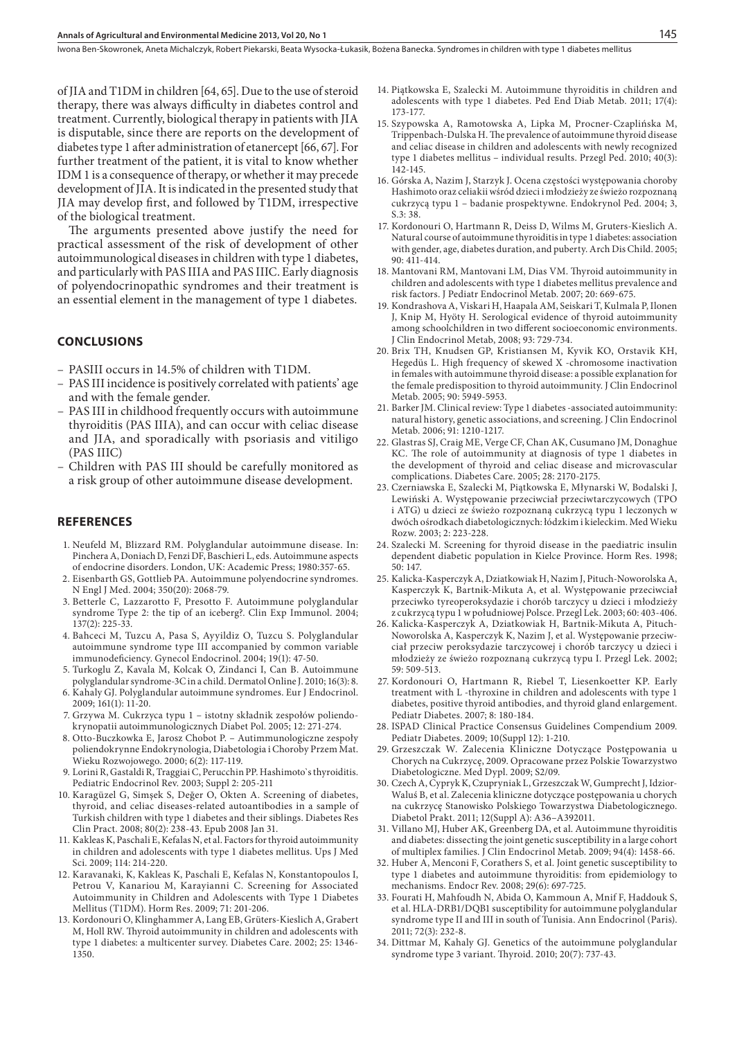Iwona Ben-Skowronek, Aneta Michalczyk, Robert Piekarski, Beata Wysocka-Łukasik, Bożena Banecka . Syndromes in children with type 1 diabetes mellitus

of JIA and T1DM in children [64, 65]. Due to the use of steroid therapy, there was always difficulty in diabetes control and treatment. Currently, biological therapy in patients with JIA is disputable, since there are reports on the development of diabetes type 1 after administration of etanercept [66, 67]. For further treatment of the patient, it is vital to know whether IDM 1 is a consequence of therapy, or whether it may precede development of JIA. It is indicated in the presented study that JIA may develop first, and followed by T1DM, irrespective of the biological treatment.

The arguments presented above justify the need for practical assessment of the risk of development of other autoimmunological diseases in children with type 1 diabetes, and particularly with PAS IIIA and PAS IIIC. Early diagnosis of polyendocrinopathic syndromes and their treatment is an essential element in the management of type 1 diabetes.

#### **Conclusions**

- PASIII occurs in 14.5% of children with T1DM.
- PAS III incidence is positively correlated with patients' age and with the female gender.
- PAS III in childhood frequently occurs with autoimmune thyroiditis (PAS IIIA), and can occur with celiac disease and JIA, and sporadically with psoriasis and vitiligo (PAS IIIC)
- Children with PAS III should be carefully monitored as a risk group of other autoimmune disease development.

#### **References**

- 1. Neufeld M, Blizzard RM. Polyglandular autoimmune disease. In: Pinchera A, Doniach D, Fenzi DF, Baschieri L, eds. Autoimmune aspects of endocrine disorders. London, UK: Academic Press; 1980:357-65.
- 2. Eisenbarth GS, Gottlieb PA. Autoimmune polyendocrine syndromes. N Engl J Med. 2004; 350(20): 2068-79.
- 3. Betterle C, Lazzarotto F, Presotto F. Autoimmune polyglandular syndrome Type 2: the tip of an iceberg?. Clin Exp Immunol. 2004; 137(2): 225-33.
- 4. Bahceci M, Tuzcu A, Pasa S, Ayyildiz O, Tuzcu S. Polyglandular autoimmune syndrome type III accompanied by common variable immunodeficiency. Gynecol Endocrinol. 2004; 19(1): 47-50.
- 5. Turkoglu Z, Kavala M, Kolcak O, Zindanci I, Can B. Autoimmune polyglandular syndrome-3C in a child. Dermatol Online J. 2010; 16(3): 8. 6. Kahaly GJ. Polyglandular autoimmune syndromes. Eur J Endocrinol.
- 2009; 161(1): 11-20. 7. Grzywa M. Cukrzyca typu 1 – istotny składnik zespołów poliendokrynopatii autoimmunologicznych Diabet Pol. 2005; 12: 271-274.
- 8. Otto-Buczkowka E, Jarosz Chobot P. Autimmunologiczne zespoły poliendokrynne Endokrynologia, Diabetologia i Choroby Przem Mat. Wieku Rozwojowego. 2000; 6(2): 117-119.
- 9. Lorini R, Gastaldi R, Traggiai C, Perucchin PP. Hashimoto`s thyroiditis. Pediatric Endocrinol Rev. 2003; Suppl 2: 205-211
- 10. Karagüzel G, Simşek S, Değer O, Okten A. Screening of diabetes, thyroid, and celiac diseases-related autoantibodies in a sample of Turkish children with type 1 diabetes and their siblings. Diabetes Res Clin Pract. 2008; 80(2): 238-43. Epub 2008 Jan 31.
- 11. Kakleas K, Paschali E, Kefalas N, et al. Factors for thyroid autoimmunity in children and adolescents with type 1 diabetes mellitus. Ups J Med Sci. 2009; 114: 214-220.
- 12. Karavanaki, K, Kakleas K, Paschali E, Kefalas N, Konstantopoulos I, Petrou V, Kanariou M, Karayianni C. Screening for Associated Autoimmunity in Children and Adolescents with Type 1 Diabetes Mellitus (T1DM). Horm Res. 2009; 71: 201-206.
- 13. Kordonouri O, Klinghammer A, Lang EB, Grüters-Kieslich A, Grabert M, Holl RW. Thyroid autoimmunity in children and adolescents with type 1 diabetes: a multicenter survey. Diabetes Care. 2002; 25: 1346- 1350.
- 14. Piątkowska E, Szalecki M. Autoimmune thyroiditis in children and adolescents with type 1 diabetes. Ped End Diab Metab. 2011; 17(4): 173-177.
- 15. Szypowska A, Ramotowska A, Lipka M, Procner-Czaplińska M, Trippenbach-Dulska H. The prevalence of autoimmune thyroid disease and celiac disease in children and adolescents with newly recognized type 1 diabetes mellitus – individual results. Przegl Ped. 2010; 40(3): 142-145.
- 16. Górska A, Nazim J, Starzyk J. Ocena częstości występowania choroby Hashimoto oraz celiakii wśród dzieci i młodzieży ze świeżo rozpoznaną cukrzycą typu 1 – badanie prospektywne. Endokrynol Ped. 2004; 3, S.3: 38.
- 17. Kordonouri O, Hartmann R, Deiss D, Wilms M, Gruters-Kieslich A. Natural course of autoimmune thyroiditis in type 1 diabetes: association with gender, age, diabetes duration, and puberty. Arch Dis Child. 2005; 90: 411-414.
- 18. Mantovani RM, Mantovani LM, Dias VM. Thyroid autoimmunity in children and adolescents with type 1 diabetes mellitus prevalence and risk factors. J Pediatr Endocrinol Metab. 2007; 20: 669-675.
- 19. Kondrashova A, Viskari H, Haapala AM, Seiskari T, Kulmala P, Ilonen J, Knip M, Hyöty H. Serological evidence of thyroid autoimmunity among schoolchildren in two different socioeconomic environments. J Clin Endocrinol Metab, 2008; 93: 729-734.
- 20. Brix TH, Knudsen GP, Kristiansen M, Kyvik KO, Orstavik KH, Hegedüs L. High frequency of skewed X -chromosome inactivation in females with autoimmune thyroid disease: a possible explanation for the female predisposition to thyroid autoimmunity. J Clin Endocrinol Metab. 2005; 90: 5949-5953.
- 21. Barker JM. Clinical review: Type 1 diabetes -associated autoimmunity: natural history, genetic associations, and screening. J Clin Endocrinol Metab. 2006; 91: 1210-1217.
- 22. Glastras SJ, Craig ME, Verge CF, Chan AK, Cusumano JM, Donaghue KC. The role of autoimmunity at diagnosis of type 1 diabetes in the development of thyroid and celiac disease and microvascular complications. Diabetes Care. 2005; 28: 2170-2175.
- 23. Czerniawska E, Szalecki M, Piątkowska E, Młynarski W, Bodalski J, Lewiński A. Występowanie przeciwciał przeciwtarczycowych (TPO i ATG) u dzieci ze świeżo rozpoznaną cukrzycą typu 1 leczonych w dwóch ośrodkach diabetologicznych: łódzkim i kieleckim. Med Wieku Rozw. 2003; 2: 223-228.
- 24. Szalecki M. Screening for thyroid disease in the paediatric insulin dependent diabetic population in Kielce Province. Horm Res. 1998; 50: 147.
- 25. Kalicka-Kasperczyk A, Dziatkowiak H, Nazim J, Pituch-Noworolska A, Kasperczyk K, Bartnik-Mikuta A, et al. Występowanie przeciwciał przeciwko tyreoperoksydazie i chorób tarczycy u dzieci i młodzieży z cukrzycą typu 1 w południowej Polsce. Przegl Lek. 2003; 60: 403-406.
- 26. Kalicka-Kasperczyk A, Dziatkowiak H, Bartnik-Mikuta A, Pituch-Noworolska A, Kasperczyk K, Nazim J, et al. Występowanie przeciwciał przeciw peroksydazie tarczycowej i chorób tarczycy u dzieci i młodzieży ze świeżo rozpoznaną cukrzycą typu I. Przegl Lek. 2002; 59: 509-513.
- 27. Kordonouri O, Hartmann R, Riebel T, Liesenkoetter KP. Early treatment with L -thyroxine in children and adolescents with type 1 diabetes, positive thyroid antibodies, and thyroid gland enlargement. Pediatr Diabetes. 2007; 8: 180-184.
- 28. ISPAD Clinical Practice Consensus Guidelines Compendium 2009. Pediatr Diabetes. 2009; 10(Suppl 12): 1-210.
- 29. Grzeszczak W. Zalecenia Kliniczne Dotyczące Postępowania u Chorych na Cukrzycę, 2009. Opracowane przez Polskie Towarzystwo Diabetologiczne. Med Dypl. 2009; S2/09.
- 30. Czech A, Cypryk K, Czupryniak L, Grzeszczak W, Gumprecht J, Idzior-Waluś B, et al. Zalecenia kliniczne dotyczące postępowania u chorych na cukrzycę Stanowisko Polskiego Towarzystwa Diabetologicznego. Diabetol Prakt. 2011; 12(Suppl A): A36–A392011.
- 31. Villano MJ, Huber AK, Greenberg DA, et al. Autoimmune thyroiditis and diabetes: dissecting the joint genetic susceptibility in a large cohort of multiplex families. J Clin Endocrinol Metab. 2009; 94(4): 1458-66.
- 32. Huber A, Menconi F, Corathers S, et al. Joint genetic susceptibility to type 1 diabetes and autoimmune thyroiditis: from epidemiology to mechanisms. Endocr Rev. 2008; 29(6): 697-725.
- 33. Fourati H, Mahfoudh N, Abida O, Kammoun A, Mnif F, Haddouk S, et al. HLA-DRB1/DQB1 susceptibility for autoimmune polyglandular syndrome type II and III in south of Tunisia. Ann Endocrinol (Paris). 2011; 72(3): 232-8.
- 34. Dittmar M, Kahaly GJ. Genetics of the autoimmune polyglandular syndrome type 3 variant. Thyroid. 2010; 20(7): 737-43.